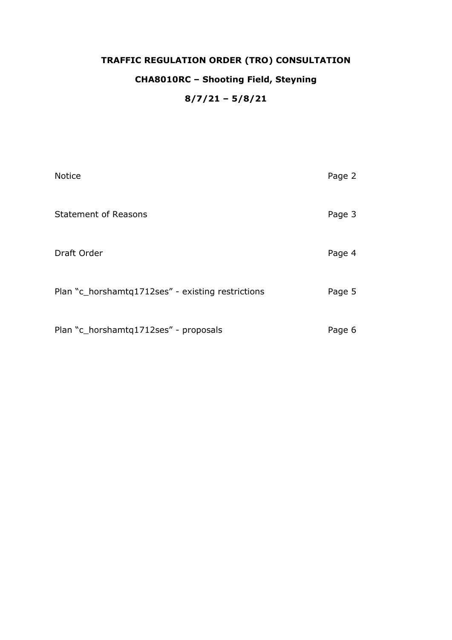## **TRAFFIC REGULATION ORDER (TRO) CONSULTATION**

### **CHA8010RC – Shooting Field, Steyning**

### **8/7/21 – 5/8/21**

| <b>Notice</b>                                     | Page 2 |
|---------------------------------------------------|--------|
| <b>Statement of Reasons</b>                       | Page 3 |
| Draft Order                                       | Page 4 |
| Plan "c_horshamtq1712ses" - existing restrictions | Page 5 |
| Plan "c_horshamtq1712ses" - proposals             | Page 6 |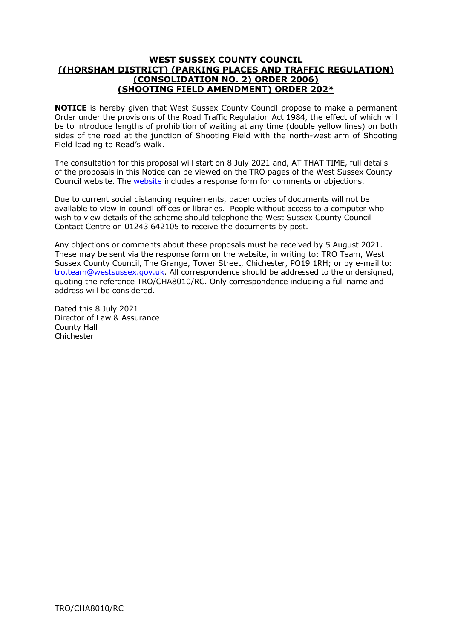#### **WEST SUSSEX COUNTY COUNCIL ((HORSHAM DISTRICT) (PARKING PLACES AND TRAFFIC REGULATION) (CONSOLIDATION NO. 2) ORDER 2006) (SHOOTING FIELD AMENDMENT) ORDER 202\***

**NOTICE** is hereby given that West Sussex County Council propose to make a permanent Order under the provisions of the Road Traffic Regulation Act 1984, the effect of which will be to introduce lengths of prohibition of waiting at any time (double yellow lines) on both sides of the road at the junction of Shooting Field with the north-west arm of Shooting Field leading to Read's Walk.

The consultation for this proposal will start on 8 July 2021 and, AT THAT TIME, full details of the proposals in this Notice can be viewed on the TRO pages of the West Sussex County Council [website](https://www.westsussex.gov.uk/roads-and-travel/traffic-regulation-orders/). The **website** includes a response form for comments or objections.

Due to current social distancing requirements, paper copies of documents will not be available to view in council offices or libraries. People without access to a computer who wish to view details of the scheme should telephone the West Sussex County Council Contact Centre on 01243 642105 to receive the documents by post.

Any objections or comments about these proposals must be received by 5 August 2021. These may be sent via the response form on the website, in writing to: TRO Team, West Sussex County Council, The Grange, Tower Street, Chichester, PO19 1RH; or by e-mail to: [tro.team@westsussex.gov.uk.](mailto:tro.team@westsussex.gov.uk) All correspondence should be addressed to the undersigned, quoting the reference TRO/CHA8010/RC. Only correspondence including a full name and address will be considered.

Dated this 8 July 2021 Director of Law & Assurance County Hall **Chichester**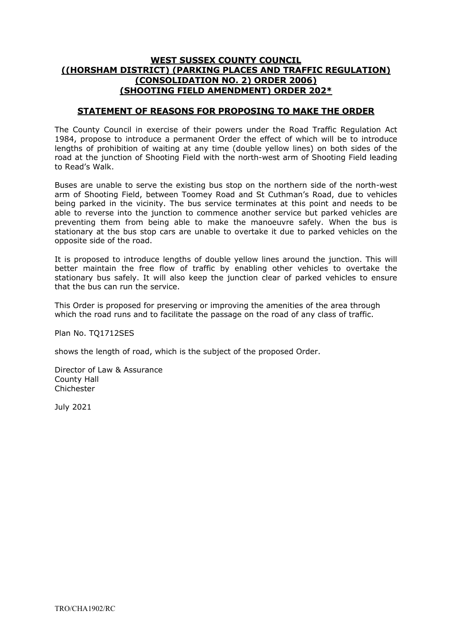#### **WEST SUSSEX COUNTY COUNCIL ((HORSHAM DISTRICT) (PARKING PLACES AND TRAFFIC REGULATION) (CONSOLIDATION NO. 2) ORDER 2006) (SHOOTING FIELD AMENDMENT) ORDER 202\***

#### **STATEMENT OF REASONS FOR PROPOSING TO MAKE THE ORDER**

The County Council in exercise of their powers under the Road Traffic Regulation Act 1984, propose to introduce a permanent Order the effect of which will be to introduce lengths of prohibition of waiting at any time (double yellow lines) on both sides of the road at the junction of Shooting Field with the north-west arm of Shooting Field leading to Read's Walk.

Buses are unable to serve the existing bus stop on the northern side of the north-west arm of Shooting Field, between Toomey Road and St Cuthman's Road, due to vehicles being parked in the vicinity. The bus service terminates at this point and needs to be able to reverse into the junction to commence another service but parked vehicles are preventing them from being able to make the manoeuvre safely. When the bus is stationary at the bus stop cars are unable to overtake it due to parked vehicles on the opposite side of the road.

It is proposed to introduce lengths of double yellow lines around the junction. This will better maintain the free flow of traffic by enabling other vehicles to overtake the stationary bus safely. It will also keep the junction clear of parked vehicles to ensure that the bus can run the service.

This Order is proposed for preserving or improving the amenities of the area through which the road runs and to facilitate the passage on the road of any class of traffic.

Plan No. TO1712SES

shows the length of road, which is the subject of the proposed Order.

Director of Law & Assurance County Hall Chichester

July 2021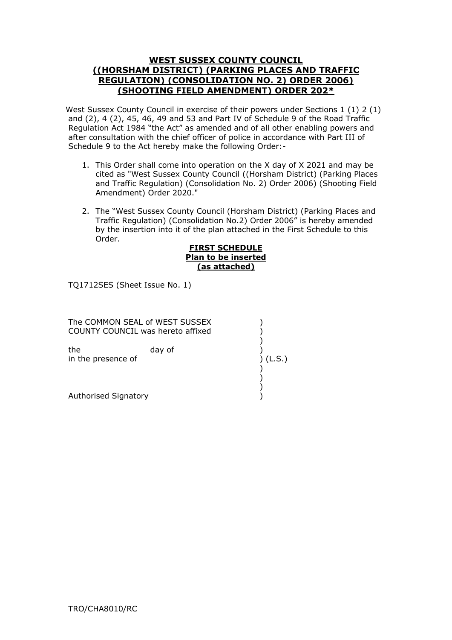#### **WEST SUSSEX COUNTY COUNCIL ((HORSHAM DISTRICT) (PARKING PLACES AND TRAFFIC REGULATION) (CONSOLIDATION NO. 2) ORDER 2006) (SHOOTING FIELD AMENDMENT) ORDER 202\***

West Sussex County Council in exercise of their powers under Sections 1 (1) 2 (1) and (2), 4 (2), 45, 46, 49 and 53 and Part IV of Schedule 9 of the Road Traffic Regulation Act 1984 "the Act" as amended and of all other enabling powers and after consultation with the chief officer of police in accordance with Part III of Schedule 9 to the Act hereby make the following Order:-

- 1. This Order shall come into operation on the X day of X 2021 and may be cited as "West Sussex County Council ((Horsham District) (Parking Places and Traffic Regulation) (Consolidation No. 2) Order 2006) (Shooting Field Amendment) Order 2020."
- 2. The "West Sussex County Council (Horsham District) (Parking Places and Traffic Regulation) (Consolidation No.2) Order 2006" is hereby amended by the insertion into it of the plan attached in the First Schedule to this Order.

#### **FIRST SCHEDULE Plan to be inserted (as attached)**

TQ1712SES (Sheet Issue No. 1)

| The COMMON SEAL of WEST SUSSEX<br>COUNTY COUNCIL was hereto affixed |        |        |
|---------------------------------------------------------------------|--------|--------|
| the<br>in the presence of                                           | day of | (L.S.) |
| Authorised Signatory                                                |        |        |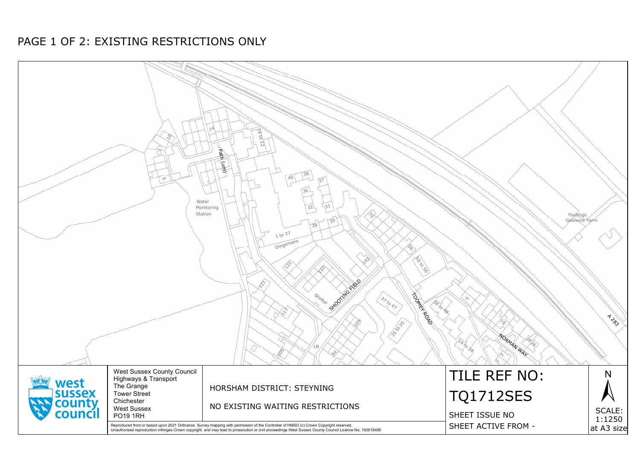## PAGE 1 OF 2: EXISTING RESTRICTIONS ONLY